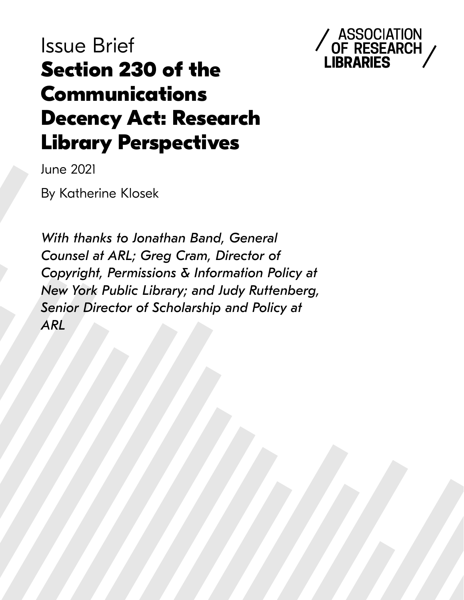# Issue Brief **Section 230 of the Communications Decency Act: Research Library Perspectives**



June 2021

By Katherine Klosek

*With thanks to Jonathan Band, General Counsel at ARL; Greg Cram, Director of ARL Copyright, Permissions & Information Policy at New York Public Library; and Judy Ruttenberg, Senior Director of Scholarship and Policy at*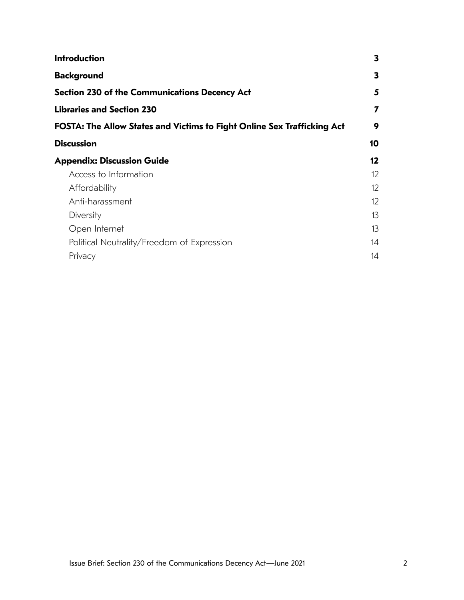| <b>Introduction</b>                                                     | 3                 |
|-------------------------------------------------------------------------|-------------------|
| <b>Background</b>                                                       | 3                 |
| <b>Section 230 of the Communications Decency Act</b>                    | 5                 |
| <b>Libraries and Section 230</b>                                        | 7                 |
| FOSTA: The Allow States and Victims to Fight Online Sex Trafficking Act | 9                 |
| <b>Discussion</b>                                                       | 10                |
| <b>Appendix: Discussion Guide</b>                                       | $12 \,$           |
| Access to Information                                                   | $12 \overline{ }$ |
| Affordability                                                           | $12 \overline{ }$ |
| Anti-harassment                                                         | $12 \overline{ }$ |
| Diversity                                                               | 13                |
| Open Internet                                                           | 13                |
| Political Neutrality/Freedom of Expression                              | 14                |
| Privacy                                                                 | 14                |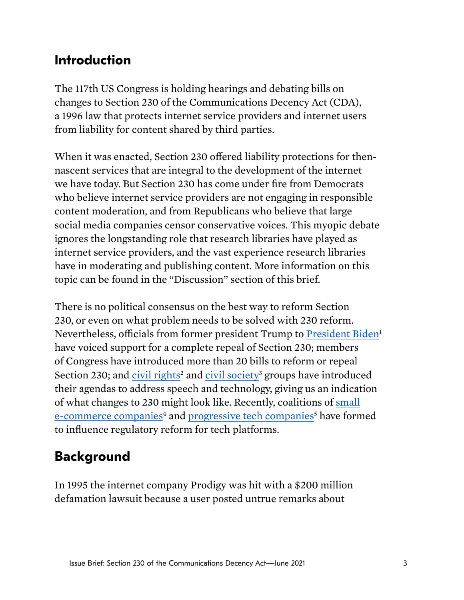# <span id="page-2-0"></span>**Introduction**

The 117th US Congress is holding hearings and debating bills on changes to Section 230 of the Communications Decency Act (CDA), a 1996 law that protects internet service providers and internet users from liability for content shared by third parties.

When it was enacted, Section 230 offered liability protections for thennascent services that are integral to the development of the internet we have today. But Section 230 has come under fre from Democrats who believe internet service providers are not engaging in responsible content moderation, and from Republicans who believe that large social media companies censor conservative voices. This myopic debate ignores the longstanding role that research libraries have played as internet service providers, and the vast experience research libraries have in moderating and publishing content. More information on this topic can be found in the "Discussion" section of this brief.

There is no political consensus on the best way to reform Section 230, or even on what problem needs to be solved with 230 reform. Nevertheless, officials from former president Trump to [President Biden](https://www.theverge.com/2020/5/29/21274812/joe-biden-donald-trump-twitter-facebook-section-230-moderation-revoke)<sup>1</sup> have voiced support for a complete repeal of Section 230; members of Congress have introduced more than 20 bills to reform or repeal Section 230; and [civil rights](https://www.civilrightstable.org/wp-content/uploads/2021/01/Civil-Rights-Privacy-and-Technology-Recommended-2021-Oversight-Priorities.pdf)<sup>2</sup> and [civil society](https://drive.google.com/file/d/1pBhomRaShQQsKekEmL7Nc7NZrZy70hmq/view)<sup>3</sup> groups have introduced their agendas to address speech and technology, giving us an indication of what changes to 230 might look like. Recently, coalitions of [small](http://www.protectsmallsellers.org/)  [e-commerce companie](http://www.protectsmallsellers.org/)[s](#page-14-0)<sup>4</sup> and [progressive tech companies](https://progresschamber.org/)<sup>5</sup> have formed to infuence regulatory reform for tech platforms.

# **Background**

In 1995 the internet company Prodigy was hit with a \$200 million defamation lawsuit because a user posted untrue remarks about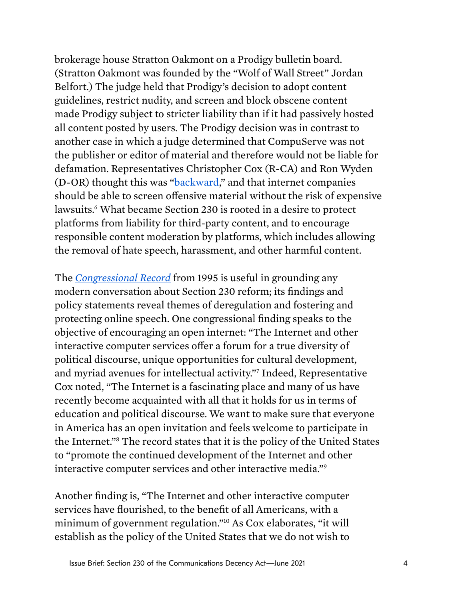brokerage house Stratton Oakmont on a Prodigy bulletin board. (Stratton Oakmont was founded by the "Wolf of Wall Street" Jordan Belfort.) The judge held that Prodigy's decision to adopt content guidelines, restrict nudity, and screen and block obscene content made Prodigy subject to stricter liability than if it had passively hosted all content posted by users. The Prodigy decision was in contrast to another case in which a judge determined that CompuServe was not the publisher or editor of material and therefore would not be liable for defamation. Representatives Christopher Cox (R-CA) and Ron Wyden (D-OR) thought this was ["backward](https://www.congress.gov/crec/1995/08/04/CREC-1995-08-04-pt1-PgH8460.pdf#page=11)," and that internet companies should be able to screen ofensive material without the risk of expensive lawsuits.<sup>6</sup> What became Section 230 is rooted in a desire to protect platforms from liability for third-party content, and to encourage responsible content moderation by platforms, which includes allowing the removal of hate speech, harassment, and other harmful content.

The *[Congressional Record](https://www.congress.gov/crec/1995/08/04/CREC-1995-08-04-pt1-PgH8460.pdf#page=11)* from 1995 is useful in grounding any modern conversation about Section 230 reform; its fndings and policy statements reveal themes of deregulation and fostering and protecting online speech. One congressional fnding speaks to the objective of encouraging an open internet: "The Internet and other interactive computer services offer a forum for a true diversity of political discourse, unique opportunities for cultural development, and myriad avenues for intellectual activity.["7](#page-14-0) Indeed, Representative Cox noted, "The Internet is a fascinating place and many of us have recently become acquainted with all that it holds for us in terms of education and political discourse. We want to make sure that everyone in America has an open invitation and feels welcome to participate in the Internet.["8](#page-14-0) The record states that it is the policy of the United States to "promote the continued development of the Internet and other interactive computer services and other interactive media.["9](#page-14-0) 

Another fnding is, "The Internet and other interactive computer services have fourished, to the beneft of all Americans, with a minimum of government regulation.["10](#page-14-0) As Cox elaborates, "it will establish as the policy of the United States that we do not wish to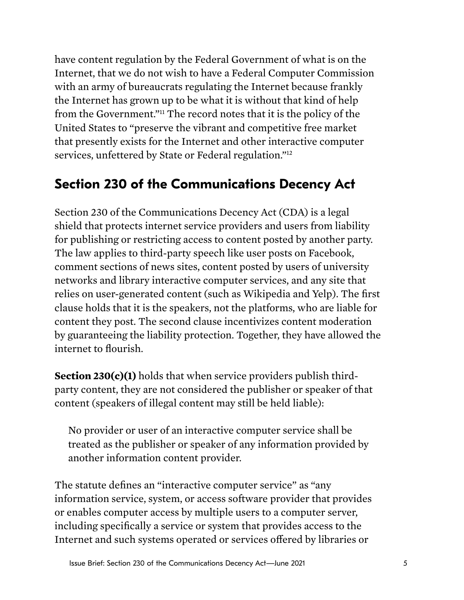<span id="page-4-0"></span>have content regulation by the Federal Government of what is on the Internet, that we do not wish to have a Federal Computer Commission with an army of bureaucrats regulating the Internet because frankly the Internet has grown up to be what it is without that kind of help from the Government.["11](#page-14-0) The record notes that it is the policy of the United States to "preserve the vibrant and competitive free market that presently exists for the Internet and other interactive computer services, unfettered by State or Federal regulation.["12](#page-14-0) 

# **Section 230 of the Communications Decency Act**

Section 230 of the Communications Decency Act (CDA) is a legal shield that protects internet service providers and users from liability for publishing or restricting access to content posted by another party. The law applies to third-party speech like user posts on Facebook, comment sections of news sites, content posted by users of university networks and library interactive computer services, and any site that relies on user-generated content (such as Wikipedia and Yelp). The frst clause holds that it is the speakers, not the platforms, who are liable for content they post. The second clause incentivizes content moderation by guaranteeing the liability protection. Together, they have allowed the internet to fourish.

**Section 230(c)(1)** holds that when service providers publish thirdparty content, they are not considered the publisher or speaker of that content (speakers of illegal content may still be held liable):

No provider or user of an interactive computer service shall be treated as the publisher or speaker of any information provided by another information content provider.

The statute defnes an "interactive computer service" as "any information service, system, or access software provider that provides or enables computer access by multiple users to a computer server, including specifcally a service or system that provides access to the Internet and such systems operated or services ofered by libraries or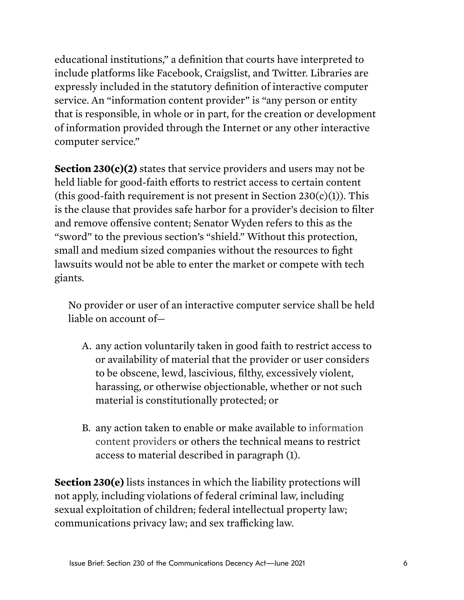educational institutions," a defnition that courts have interpreted to include platforms like Facebook, Craigslist, and Twitter. Libraries are expressly included in the statutory defnition of interactive computer service. An "information content provider" is "any person or entity that is responsible, in whole or in part, for the creation or development of information provided through the Internet or any other interactive computer service."

**Section 230(c)(2)** states that service providers and users may not be held liable for good-faith efforts to restrict access to certain content (this good-faith requirement is not present in Section  $230(c)(1)$ ). This is the clause that provides safe harbor for a provider's decision to flter and remove ofensive content; Senator Wyden refers to this as the "sword" to the previous section's "shield." Without this protection, small and medium sized companies without the resources to fght lawsuits would not be able to enter the market or compete with tech giants.

No provider or user of an interactive computer service shall be held liable on account of—

- A. any action voluntarily taken in good faith to restrict access to or availability of material that the provider or user considers to be obscene, lewd, lascivious, flthy, excessively violent, harassing, or otherwise objectionable, whether or not such material is constitutionally protected; or
- B. any action taken to enable or make available to information content providers or others the technical means to restrict access to material described in paragraph (1).

**Section 230(e)** lists instances in which the liability protections will not apply, including violations of federal criminal law, including sexual exploitation of children; federal intellectual property law; communications privacy law; and sex trafficking law.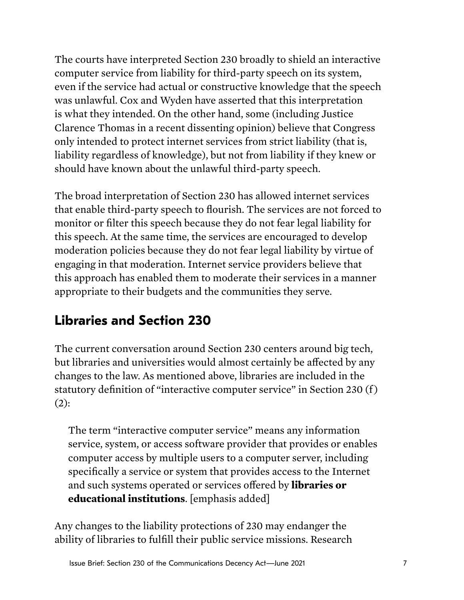<span id="page-6-0"></span>The courts have interpreted Section 230 broadly to shield an interactive computer service from liability for third-party speech on its system, even if the service had actual or constructive knowledge that the speech was unlawful. Cox and Wyden have asserted that this interpretation is what they intended. On the other hand, some (including Justice Clarence Thomas in a recent dissenting opinion) believe that Congress only intended to protect internet services from strict liability (that is, liability regardless of knowledge), but not from liability if they knew or should have known about the unlawful third-party speech.

The broad interpretation of Section 230 has allowed internet services that enable third-party speech to fourish. The services are not forced to monitor or flter this speech because they do not fear legal liability for this speech. At the same time, the services are encouraged to develop moderation policies because they do not fear legal liability by virtue of engaging in that moderation. Internet service providers believe that this approach has enabled them to moderate their services in a manner appropriate to their budgets and the communities they serve.

# **Libraries and Section 230**

The current conversation around Section 230 centers around big tech, but libraries and universities would almost certainly be afected by any changes to the law. As mentioned above, libraries are included in the statutory defnition of "interactive computer service" in Section 230 (f )  $(2):$ 

The term ["interactive computer service](https://www.law.cornell.edu/definitions/uscode.php?width=840&height=800&iframe=true&def_id=47-USC-1900800046-1237841278&term_occur=999&term_src=)" means any [information](https://www.law.cornell.edu/definitions/uscode.php?width=840&height=800&iframe=true&def_id=47-USC-197268543-1952898658&term_occur=999&term_src=title:47:chapter:5:subchapter:II:part:I:section:230)  [service,](https://www.law.cornell.edu/definitions/uscode.php?width=840&height=800&iframe=true&def_id=47-USC-197268543-1952898658&term_occur=999&term_src=title:47:chapter:5:subchapter:II:part:I:section:230) system, or [access software provider](https://www.law.cornell.edu/definitions/uscode.php?width=840&height=800&iframe=true&def_id=47-USC-629364878-1237841280&term_occur=999&term_src=title:47:chapter:5:subchapter:II:part:I:section:230) that provides or enables computer access by multiple users to a computer server, including specifcally a service or system that provides access to th[e Internet](https://www.law.cornell.edu/definitions/uscode.php?width=840&height=800&iframe=true&def_id=47-USC-635054945-1237841277&term_occur=999&term_src=title:47:chapter:5:subchapter:II:part:I:section:230)  and such systems operated or services ofered by **libraries or educational institutions**. [emphasis added]

Any changes to the liability protections of 230 may endanger the ability of libraries to fulfll their public service missions. Research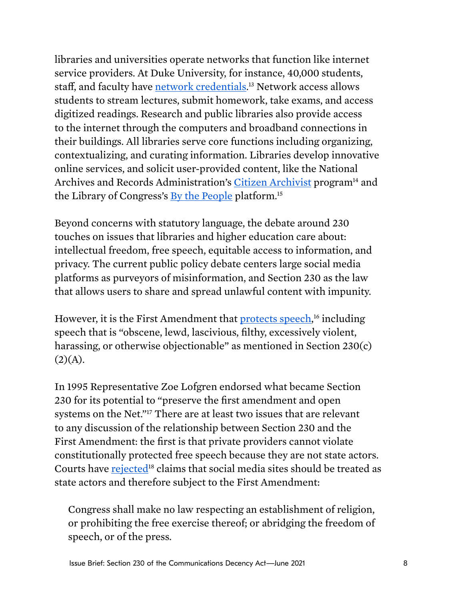libraries and universities operate networks that function like internet service providers. At Duke University, for instance, 40,000 students, staff, and faculty have <u>network credentials</u>.[13](#page-15-0) Network access allows students to stream lectures, submit homework, take exams, and access digitized readings. Research and public libraries also provide access to the internet through the computers and broadband connections in their buildings. All libraries serve core functions including organizing, contextualizing, and curating information. Libraries develop innovative online services, and solicit user-provided content, like the National Archives and Records Administration's [Citizen Archivist](https://www.archives.gov/citizen-archivist) program<sup>14</sup> and the Library of Congress's [By the People](https://crowd.loc.gov) platform.[15](#page-15-0) 

Beyond concerns with statutory language, the debate around 230 touches on issues that libraries and higher education care about: intellectual freedom, free speech, equitable access to information, and privacy. The current public policy debate centers large social media platforms as purveyors of misinformation, and Section 230 as the law that allows users to share and spread unlawful content with impunity.

However, it is the First Amendment that [protects speech,](https://www.nytimes.com/2019/08/06/technology/section-230-hate-speech.html)<sup>16</sup> including speech that is "obscene, lewd, lascivious, flthy, excessively violent, harassing, or otherwise objectionable" as mentioned in Section 230(c)  $(2)(A).$ 

In 1995 Representative Zoe Lofgren endorsed what became Section 230 for its potential to "preserve the frst amendment and open systems on the Net."[17](#page-15-0) There are at least two issues that are relevant to any discussion of the relationship between Section 230 and the First Amendment: the frst is that private providers cannot violate constitutionally protected free speech because they are not state actors. Courts have [rejected](https://fas.org/sgp/crs/misc/R45650.pdf)<sup>[18](#page-15-0)</sup> claims that social media sites should be treated as state actors and therefore subject to the First Amendment:

Congress shall make no law respecting an establishment of religion, or prohibiting the free exercise thereof; or abridging the freedom of speech, or of the press.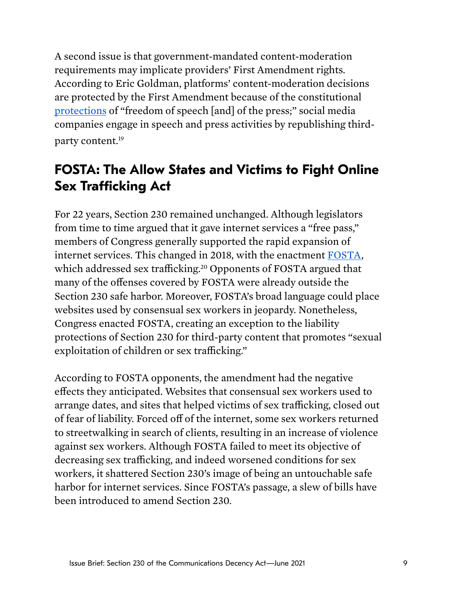<span id="page-8-0"></span>A second issue is that government-mandated content-moderation requirements may implicate providers' First Amendment rights. According to Eric Goldman, platforms' content-moderation decisions are protected by the First Amendment because of the constitutional [protections](https://digitalcommons.law.scu.edu/cgi/viewcontent.cgi?article=1955&context=facpubs) of "freedom of speech [and] of the press;" social media companies engage in speech and press activities by republishing thirdparty content.<sup>19</sup>

# **FOSTA: The Allow States and Victims to Fight Online Sex Trafficking Act**

For 22 years, Section 230 remained unchanged. Although legislators from time to time argued that it gave internet services a "free pass," members of Congress generally supported the rapid expansion of internet services. This changed in 2018, with the enactment [FOSTA,](https://www.congress.gov/bill/115th-congress/house-bill/1865/text?r=1) which addressed sex trafficking.<sup>20</sup> Opponents of FOSTA argued that many of the ofenses covered by FOSTA were already outside the Section 230 safe harbor. Moreover, FOSTA's broad language could place websites used by consensual sex workers in jeopardy. Nonetheless, Congress enacted FOSTA, creating an exception to the liability protections of Section 230 for third-party content that promotes "sexual exploitation of children or sex trafficking."

According to FOSTA opponents, the amendment had the negative efects they anticipated. Websites that consensual sex workers used to arrange dates, and sites that helped victims of sex trafficking, closed out of fear of liability. Forced of of the internet, some sex workers returned to streetwalking in search of clients, resulting in an increase of violence against sex workers. Although FOSTA failed to meet its objective of decreasing sex trafficking, and indeed worsened conditions for sex workers, it shattered Section 230's image of being an untouchable safe harbor for internet services. Since FOSTA's passage, a slew of bills have been introduced to amend Section 230.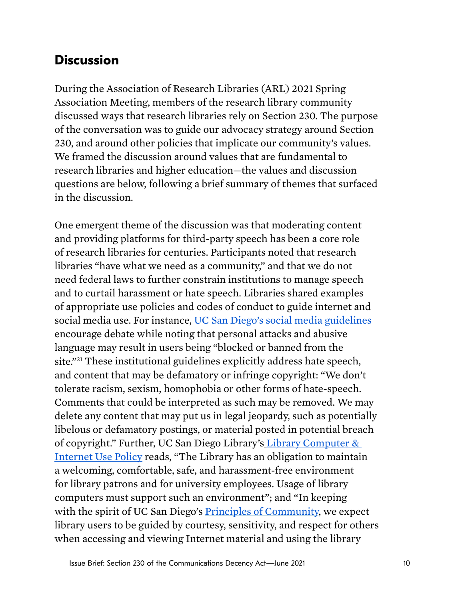## <span id="page-9-0"></span>**Discussion**

During the Association of Research Libraries (ARL) 2021 Spring Association Meeting, members of the research library community discussed ways that research libraries rely on Section 230. The purpose of the conversation was to guide our advocacy strategy around Section 230, and around other policies that implicate our community's values. We framed the discussion around values that are fundamental to research libraries and higher education—the values and discussion questions are below, following a brief summary of themes that surfaced in the discussion.

One emergent theme of the discussion was that moderating content and providing platforms for third-party speech has been a core role of research libraries for centuries. Participants noted that research libraries "have what we need as a community," and that we do not need federal laws to further constrain institutions to manage speech and to curtail harassment or hate speech. Libraries shared examples of appropriate use policies and codes of conduct to guide internet and social media use. For instance, [UC San Diego's social media guidelines](https://ucpa.ucsd.edu/images/uploads/social-media-guidelines.pdf)  encourage debate while noting that personal attacks and abusive language may result in users being "blocked or banned from the site.["21](#page-15-0) These institutional guidelines explicitly address hate speech, and content that may be defamatory or infringe copyright: "We don't tolerate racism, sexism, homophobia or other forms of hate-speech. Comments that could be interpreted as such may be removed. We may delete any content that may put us in legal jeopardy, such as potentially libelous or defamatory postings, or material posted in potential breach of copyright." Further, UC San Diego Library's [Library Computer &](https://library.ucsd.edu/about/policies/library-computer-use-policy.html)  [Internet Use Policy](https://library.ucsd.edu/about/policies/library-computer-use-policy.html) reads, "The Library has an obligation to maintain a welcoming, comfortable, safe, and harassment-free environment for library patrons and for university employees. Usage of library computers must support such an environment"; and "In keeping with the spirit of UC San Diego's [Principles of Community,](http://www.ucsd.edu/explore/about/principles.html) we expect library users to be guided by courtesy, sensitivity, and respect for others when accessing and viewing Internet material and using the library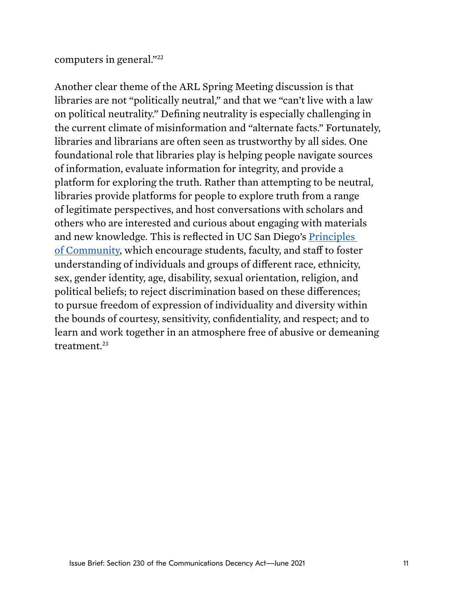#### computers in general."[22](#page-15-0)

Another clear theme of the ARL Spring Meeting discussion is that libraries are not "politically neutral," and that we "can't live with a law on political neutrality." Defning neutrality is especially challenging in the current climate of misinformation and "alternate facts." Fortunately, libraries and librarians are often seen as trustworthy by all sides. One foundational role that libraries play is helping people navigate sources of information, evaluate information for integrity, and provide a platform for exploring the truth. Rather than attempting to be neutral, libraries provide platforms for people to explore truth from a range of legitimate perspectives, and host conversations with scholars and others who are interested and curious about engaging with materials and new knowledge. This is refected in UC San Diego's [Principles](https://ucsd.edu/about/principles.html)  [of Community,](https://ucsd.edu/about/principles.html) which encourage students, faculty, and staf to foster understanding of individuals and groups of diferent race, ethnicity, sex, gender identity, age, disability, sexual orientation, religion, and political beliefs; to reject discrimination based on these diferences; to pursue freedom of expression of individuality and diversity within the bounds of courtesy, sensitivity, confdentiality, and respect; and to learn and work together in an atmosphere free of abusive or demeaning treatment.<sup>23</sup>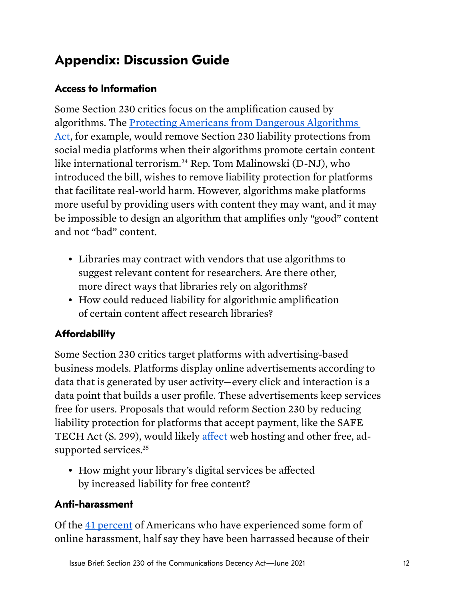# <span id="page-11-0"></span>**Appendix: Discussion Guide**

#### **Access to Information**

Some Section 230 critics focus on the amplifcation caused by algorithms. The [Protecting Americans from Dangerous Algorithms](https://malinowski.house.gov/sites/malinowski.house.gov/files/Malinowski_Eshoo_Algorithms.pdf)  [Act,](https://malinowski.house.gov/sites/malinowski.house.gov/files/Malinowski_Eshoo_Algorithms.pdf) for example, would remove Section 230 liability protections from social media platforms when their algorithms promote certain content like international terrorism.[24](#page-16-0) Rep. Tom Malinowski (D-NJ), who introduced the bill, wishes to remove liability protection for platforms that facilitate real-world harm. However, algorithms make platforms more useful by providing users with content they may want, and it may be impossible to design an algorithm that amplifes only "good" content and not "bad" content.

- Libraries may contract with vendors that use algorithms to suggest relevant content for researchers. Are there other, more direct ways that libraries rely on algorithms?
- How could reduced liability for algorithmic amplifcation of certain content afect research libraries?

### **Affordability**

Some Section 230 critics target platforms with advertising-based business models. Platforms display online advertisements according to data that is generated by user activity—every click and interaction is a data point that builds a user profle. These advertisements keep services free for users. Proposals that would reform Section 230 by reducing liability protection for platforms that accept payment, like the SAFE TECH Act (S. 299), would likely affect web hosting and other free, adsupported services.<sup>25</sup>

• How might your library's digital services be afected by increased liability for free content?

#### **Anti-harassment**

Of the [41 percent o](https://www.pewresearch.org/internet/2021/01/13/the-state-of-online-harassment/)f Americans who have experienced some form of online harassment, half say they have been harrassed because of their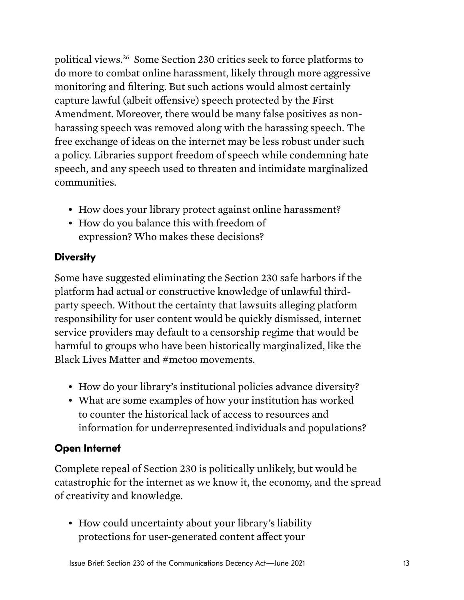<span id="page-12-0"></span>political views[.26](#page-16-0) Some Section 230 critics seek to force platforms to do more to combat online harassment, likely through more aggressive monitoring and fltering. But such actions would almost certainly capture lawful (albeit offensive) speech protected by the First Amendment. Moreover, there would be many false positives as nonharassing speech was removed along with the harassing speech. The free exchange of ideas on the internet may be less robust under such a policy. Libraries support freedom of speech while condemning hate speech, and any speech used to threaten and intimidate marginalized communities.

- How does your library protect against online harassment?
- How do you balance this with freedom of expression? Who makes these decisions?

#### **Diversity**

Some have suggested eliminating the Section 230 safe harbors if the platform had actual or constructive knowledge of unlawful thirdparty speech. Without the certainty that lawsuits alleging platform responsibility for user content would be quickly dismissed, internet service providers may default to a censorship regime that would be harmful to groups who have been historically marginalized, like the Black Lives Matter and #metoo movements.

- How do your library's institutional policies advance diversity?
- What are some examples of how your institution has worked to counter the historical lack of access to resources and information for underrepresented individuals and populations?

#### **Open Internet**

Complete repeal of Section 230 is politically unlikely, but would be catastrophic for the internet as we know it, the economy, and the spread of creativity and knowledge.

• How could uncertainty about your library's liability protections for user-generated content afect your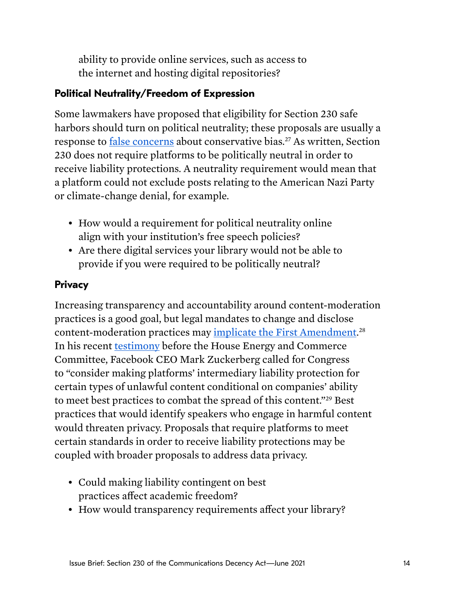<span id="page-13-0"></span>ability to provide online services, such as access to the internet and hosting digital repositories?

#### **Political Neutrality/Freedom of Expression**

Some lawmakers have proposed that eligibility for Section 230 safe harbors should turn on political neutrality; these proposals are usually a response to [false concerns](https://static1.squarespace.com/static/5b6df958f8370af3217d4178/t/60187b5f45762e708708c8e9/1612217185240/NYU+False+Accusation_2.pdf) about conservative bias.<sup>27</sup> As written, Section 230 does not require platforms to be politically neutral in order to receive liability protections. A neutrality requirement would mean that a platform could not exclude posts relating to the American Nazi Party or climate-change denial, for example.

- How would a requirement for political neutrality online align with your institution's free speech policies?
- Are there digital services your library would not be able to provide if you were required to be politically neutral?

#### **Privacy**

Increasing transparency and accountability around content-moderation practices is a good goal, but legal mandates to change and disclose content-moderation practices may [implicate the First Amendment.](https://fas.org/sgp/crs/misc/LSB10306.pdf)<sup>28</sup> In his recent [testimony](https://energycommerce.house.gov/sites/democrats.energycommerce.house.gov/files/documents/Witness%20Testimony_Zuckerberg_CAT_CPC_2021.03.25.pdf) before the House Energy and Commerce Committee, Facebook CEO Mark Zuckerberg called for Congress to "consider making platforms' intermediary liability protection for certain types of unlawful content conditional on companies' ability to meet best practices to combat the spread of this content."[29](#page-16-0) Best practices that would identify speakers who engage in harmful content would threaten privacy. Proposals that require platforms to meet certain standards in order to receive liability protections may be coupled with broader proposals to address data privacy.

- Could making liability contingent on best practices afect academic freedom?
- How would transparency requirements affect your library?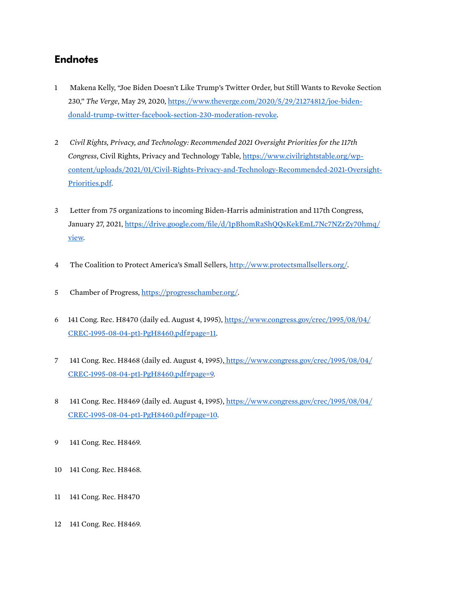#### <span id="page-14-0"></span>**Endnotes**

- 1 Makena Kelly, "Joe Biden Doesn't Like Trump's Twitter Order, but Still Wants to Revoke Section 230," *The Verge*, May 29, 2020, [https://www.theverge.com/2020/5/29/21274812/joe-biden](https://www.theverge.com/2020/5/29/21274812/joe-biden-donald-trump-twitter-facebook-section-230-moderation-revoke)[donald-trump-twitter-facebook-section-230-moderation-revoke](https://www.theverge.com/2020/5/29/21274812/joe-biden-donald-trump-twitter-facebook-section-230-moderation-revoke).
- $\overline{2}$ 2 *Civil Rights, Privacy, and Technology: Recommended 2021 Oversight Priorities for the 117th Congress*, Civil Rights, Privacy and Technology Table, [https://www.civilrightstable.org/wp](https://www.civilrightstable.org/wp-content/uploads/2021/01/Civil-Rights-Privacy-and-Technology-Recommended-2021-Oversight-Priorities.pdf)[content/uploads/2021/01/Civil-Rights-Privacy-and-Technology-Recommended-2021-Oversight-](https://www.civilrightstable.org/wp-content/uploads/2021/01/Civil-Rights-Privacy-and-Technology-Recommended-2021-Oversight-Priorities.pdf)[Priorities.pdf.](https://www.civilrightstable.org/wp-content/uploads/2021/01/Civil-Rights-Privacy-and-Technology-Recommended-2021-Oversight-Priorities.pdf)
- 3 Letter from 75 organizations to incoming Biden-Harris administration and 117th Congress, January 27, 2021, https://drive.google.com/file/d/1pBhomRaShQQsKekEmL7Nc7NZrZy70hmq/ [view.](https://drive.google.com/file/d/1pBhomRaShQQsKekEmL7Nc7NZrZy70hmq/view)
- 4 The Coalition to Protect America's Small Sellers, <http://www.protectsmallsellers.org/>.
- 5 Chamber of Progress, [https://progresschamber.org/.](https://progresschamber.org/)
- 6 141 Cong. Rec. H8470 (daily ed. August 4, 1995), [https://www.congress.gov/crec/1995/08/04/](https://www.congress.gov/crec/1995/08/04/CREC-1995-08-04-pt1-PgH8460.pdf#page=11)  [CREC-1995-08-04-pt1-PgH8460.pdf#page=11](https://www.congress.gov/crec/1995/08/04/CREC-1995-08-04-pt1-PgH8460.pdf#page=11).
- 7 141 Cong. Rec. H8468 (daily ed. August 4, 1995), [https://www.congress.gov/crec/1995/08/04/](https://www.congress.gov/crec/1995/08/04/CREC-1995-08-04-pt1-PgH8460.pdf#page=9)  [CREC-1995-08-04-pt1-PgH8460.pdf#page=9.](https://www.congress.gov/crec/1995/08/04/CREC-1995-08-04-pt1-PgH8460.pdf#page=9)
- 8 141 Cong. Rec. H8469 (daily ed. August 4, 1995), [https://www.congress.gov/crec/1995/08/04/](https://www.congress.gov/crec/1995/08/04/CREC-1995-08-04-pt1-PgH8460.pdf#page=10)  [CREC-1995-08-04-pt1-PgH8460.pdf#page=10.](https://www.congress.gov/crec/1995/08/04/CREC-1995-08-04-pt1-PgH8460.pdf#page=10)
- 9 141 Cong. Rec. H8469.
- 10 141 Cong. Rec. H8468.
- 11 141 Cong. Rec. H8470
- 12 141 Cong. Rec. H8469.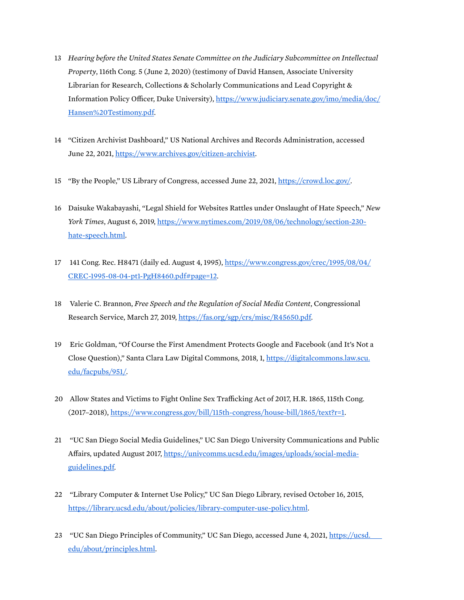- <span id="page-15-0"></span>13 *Hearing before the United States Senate Committee on the Judiciary Subcommittee on Intellectual Property*, 116th Cong. 5 (June 2, 2020) (testimony of David Hansen, Associate University Librarian for Research, Collections & Scholarly Communications and Lead Copyright & Information Policy Officer, Duke University), https://www.judiciary.senate.gov/imo/media/doc/ [Hansen%20Testimony.pdf.](https://www.judiciary.senate.gov/imo/media/doc/Hansen%20Testimony.pdf)
- 14 "Citizen Archivist Dashboard," US National Archives and Records Administration, accessed June 22, 2021,<https://www.archives.gov/citizen-archivist>.
- 15 "By the People," US Library of Congress, accessed June 22, 2021, <https://crowd.loc.gov/>.
- 16 Daisuke Wakabayashi, "Legal Shield for Websites Rattles under Onslaught of Hate Speech," *New York Times*, August 6, 2019, [https://www.nytimes.com/2019/08/06/technology/section-230](https://www.google.com/url?q=https://www.nytimes.com/2019/08/06/technology/section-230-hate-speech.html&sa=D&source=editors&ust=1625163874692000&usg=AOvVaw3H1dThO2yGg4BG9PbcVdUm) [hate-speech.html](https://www.google.com/url?q=https://www.nytimes.com/2019/08/06/technology/section-230-hate-speech.html&sa=D&source=editors&ust=1625163874692000&usg=AOvVaw3H1dThO2yGg4BG9PbcVdUm).
- 17 141 Cong. Rec. H8471 (daily ed. August 4, 1995), [https://www.congress.gov/crec/1995/08/04/](https://www.congress.gov/crec/1995/08/04/CREC-1995-08-04-pt1-PgH8460.pdf#page=12)  [CREC-1995-08-04-pt1-PgH8460.pdf#page=12](https://www.congress.gov/crec/1995/08/04/CREC-1995-08-04-pt1-PgH8460.pdf#page=12).
- 18 Valerie C. Brannon, *Free Speech and the Regulation of Social Media Content*, Congressional Research Service, March 27, 2019, [https://fas.org/sgp/crs/misc/R45650.pdf.](https://fas.org/sgp/crs/misc/R45650.pdf)
- 19 Eric Goldman, "Of Course the First Amendment Protects Google and Facebook (and It's Not a Close Question)," Santa Clara Law Digital Commons, 2018, 1, [https://digitalcommons.law.scu.](https://digitalcommons.law.scu.edu/facpubs/951/)  [edu/facpubs/951/.](https://digitalcommons.law.scu.edu/facpubs/951/)
- 20 Allow States and Victims to Fight Online Sex Trafficking Act of 2017, H.R. 1865, 115th Cong. (2017–2018), [https://www.congress.gov/bill/115th-congress/house-bill/1865/text?r=1.](https://www.congress.gov/bill/115th-congress/house-bill/1865/text?r=1)
- 21 "UC San Diego Social Media Guidelines," UC San Diego University Communications and Public Afairs, updated August 2017, [https://univcomms.ucsd.edu/images/uploads/social-media](https://univcomms.ucsd.edu/images/uploads/social-media-guidelines.pdf)[guidelines.pdf.](https://univcomms.ucsd.edu/images/uploads/social-media-guidelines.pdf)
- 22 "Library Computer & Internet Use Policy," UC San Diego Library, revised October 16, 2015, <https://library.ucsd.edu/about/policies/library-computer-use-policy.html>.
- 23 "UC San Diego Principles of Community," UC San Diego, accessed June 4, 2021, <u>https://ucsd.</u><br><u>edu/about/principles.html</u>.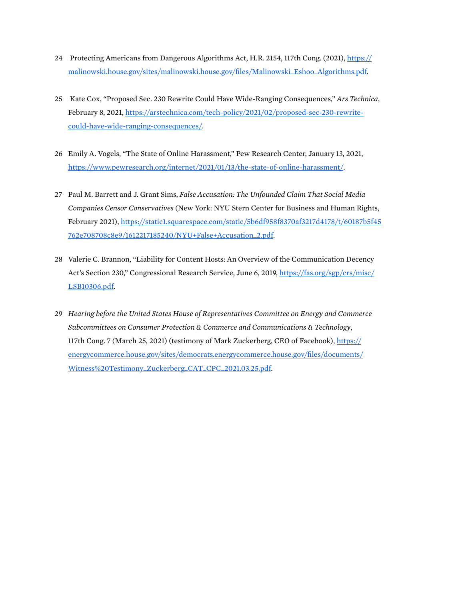- <span id="page-16-0"></span>24 Protecting Americans from Dangerous Algorithms Act, H.R. 2154, 117th Cong. (2021), https:// [malinowski.house.gov/sites/malinowski.house.gov/fles/Malinowski\\_Eshoo\\_Algorithms.pdf](https://malinowski.house.gov/sites/malinowski.house.gov/files/Malinowski_Eshoo_Algorithms.pdf).
- 25 Kate Cox, "Proposed Sec. 230 Rewrite Could Have Wide-Ranging Consequences," *Ars Technica*, February 8, 2021, [https://arstechnica.com/tech-policy/2021/02/proposed-sec-230-rewrite](https://arstechnica.com/tech-policy/2021/02/proposed-sec-230-rewrite-could-have-wide-ranging-consequences/)[could-have-wide-ranging-consequences/.](https://arstechnica.com/tech-policy/2021/02/proposed-sec-230-rewrite-could-have-wide-ranging-consequences/)
- 26 Emily A. Vogels, "The State of Online Harassment," Pew Research Center, January 13, 2021, [https://www.pewresearch.org/internet/2021/01/13/the-state-of-online-harassment/.](https://www.pewresearch.org/internet/2021/01/13/the-state-of-online-harassment/)
- 27 Paul M. Barrett and J. Grant Sims, *False Accusation: The Unfounded Claim That Social Media Companies Censor Conservatives* (New York: NYU Stern Center for Business and Human Rights, February 2021), [https://static1.squarespace.com/static/5b6df958f8370af3217d4178/t/60187b5f45](https://static1.squarespace.com/static/5b6df958f8370af3217d4178/t/60187b5f45762e708708c8e9/1612217185240/NYU+False+Accusation_2.pdf)  [762e708708c8e9/1612217185240/NYU+False+Accusation\\_2.pdf.](https://static1.squarespace.com/static/5b6df958f8370af3217d4178/t/60187b5f45762e708708c8e9/1612217185240/NYU+False+Accusation_2.pdf)
- 28 Valerie C. Brannon, "Liability for Content Hosts: An Overview of the Communication Decency Act's Section 230," Congressional Research Service, June 6, 2019, https://fas.org/sgp/crs/misc/ [LSB10306.pdf.](https://fas.org/sgp/crs/misc/LSB10306.pdf)
- 29 *Hearing before the United States House of Representatives Committee on Energy and Commerce Subcommittees on Consumer Protection & Commerce and Communications & Technology*, 117th Cong. 7 (March 25, 2021) (testimony of Mark Zuckerberg, CEO of Facebook), [https://](https://energycommerce.house.gov/sites/democrats.energycommerce.house.gov/files/documents/Witness%20Testimony_Zuckerberg_CAT_CPC_2021.03.25.pdf)  [energycommerce.house.gov/sites/democrats.energycommerce.house.gov/fles/documents/](https://energycommerce.house.gov/sites/democrats.energycommerce.house.gov/files/documents/Witness%20Testimony_Zuckerberg_CAT_CPC_2021.03.25.pdf)  [Witness%20Testimony\\_Zuckerberg\\_CAT\\_CPC\\_2021.03.25.pdf.](https://energycommerce.house.gov/sites/democrats.energycommerce.house.gov/files/documents/Witness%20Testimony_Zuckerberg_CAT_CPC_2021.03.25.pdf)